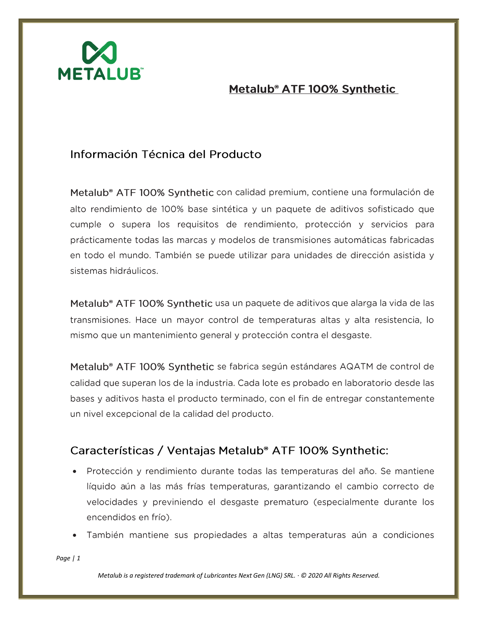

#### Información Técnica del Producto

Metalub<sup>®</sup> ATF 100% Synthetic con calidad premium, contiene una formulación de alto rendimiento de 100% base sintética y un paquete de aditivos sofisticado que cumple o supera los requisitos de rendimiento, protección y servicios para prácticamente todas las marcas y modelos de transmisiones automáticas fabricadas en todo el mundo. También se puede utilizar para unidades de dirección asistida y sistemas hidráulicos.

Metalub<sup>®</sup> ATF 100% Synthetic usa un paquete de aditivos que alarga la vida de las transmisiones. Hace un mayor control de temperaturas altas y alta resistencia, lo mismo que un mantenimiento general y protección contra el desgaste.

Metalub<sup>®</sup> ATF 100% Synthetic se fabrica según estándares AQATM de control de calidad que superan los de la industria. Cada lote es probado en laboratorio desde las bases y aditivos hasta el producto terminado, con el fin de entregar constantemente un nivel excepcional de la calidad del producto.

#### Características / Ventajas Metalub<sup>®</sup> ATF 100% Synthetic:

- Protección y rendimiento durante todas las temperaturas del año. Se mantiene líquido aún a las más frías temperaturas, garantizando el cambio correcto de velocidades y previniendo el desgaste prematuro (especialmente durante los encendidos en frío).
- También mantiene sus propiedades a altas temperaturas aún a condiciones

*Page | 1*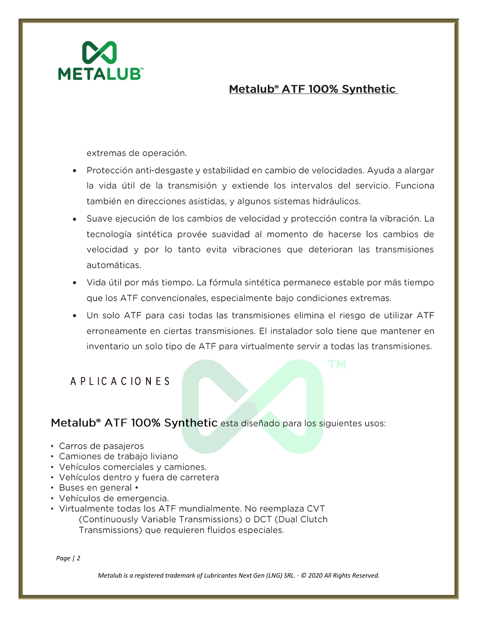

extremas de operación.

- Protección anti-desgaste y estabilidad en cambio de velocidades. Ayuda a alargar la vida útil de la transmisión y extiende los intervalos del servicio. Funciona también en direcciones asistidas, y algunos sistemas hidráulicos.
- Suave ejecución de los cambios de velocidad y protección contra la vibración. La tecnología sintética provée suavidad al momento de hacerse los cambios de velocidad y por lo tanto evita vibraciones que deterioran las transmisiones automáticas.
- · Vida útil por más tiempo. La fórmula sintética permanece estable por más tiempo que los ATF convencionales, especialmente bajo condiciones extremas.
- Un solo ATF para casi todas las transmisiones elimina el riesgo de utilizar ATF erroneamente en ciertas transmisiones. El instalador solo tiene que mantener en inventario un solo tipo de ATF para virtualmente servir a todas las transmisiones.

### A PLICACIONES

Metalub<sup>®</sup> ATF 100% Synthetic esta diseñado para los siguientes usos:

- Carros de pasajeros
- Camiones de trabajo liviano
- Vehículos comerciales y camiones.
- Vehículos dentro y fuera de carretera
- Buses en general •
- · Vehículos de emergencia.
- Virtualmente todas los ATF mundialmente. No reemplaza CVT (Continuously Variable Transmissions) o DCT (Dual Clutch Transmissions) que requieren fluidos especiales.

*Page | 2*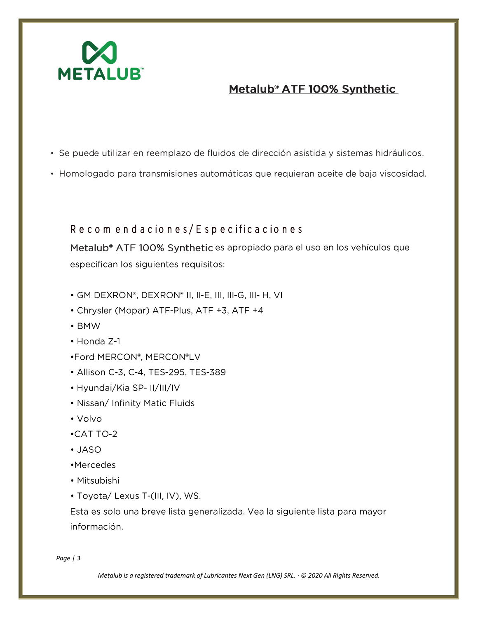

- · Se puede utilizar en reemplazo de fluidos de dirección asistida y sistemas hidráulicos.
- · Homologado para transmisiones automáticas que requieran aceite de baja viscosidad.

Recomendaciones/Especificaciones

Metalub<sup>®</sup> ATF 100% Synthetic es apropiado para el uso en los vehículos que especifican los siguientes requisitos:

- GM DEXRON®, DEXRON® II, II-E, III, III-G, III- H, VI
- Chrysler (Mopar) ATF-Plus, ATF +3, ATF +4
- $\cdot$  BMW
- Honda Z-1
- .Ford MERCON®, MERCON®LV
- Allison C-3, C-4, TES-295, TES-389
- Hyundai/Kia SP- II/III/IV
- Nissan/ Infinity Matic Fluids
- Volvo
- $\cdot$ CAT TO-2
- $\cdot$  JASO
- •Mercedes
- Mitsubishi
- Toyota/ Lexus T-(III, IV), WS.

Esta es solo una breve lista generalizada. Vea la siguiente lista para mayor información.

Page  $/3$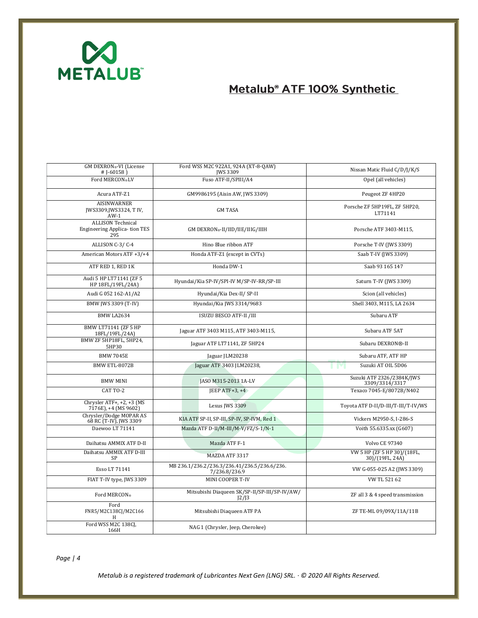

| GM DEXRON®-VI (License<br># $[-60158]$                                 | Ford WSS M2C 922A1, 924A (XT-8-QAW)<br>JWS 3309               | Nissan Matic Fluid C/D/J/K/S                   |  |
|------------------------------------------------------------------------|---------------------------------------------------------------|------------------------------------------------|--|
| Ford MERCON®LV                                                         | Fuso ATF-II/SPIII/A4                                          | Opel (all vehicles)                            |  |
| Acura ATF-Z1                                                           | GM9986195 (Aisin AW, JWS 3309)                                | Peugeot ZF 4HP20                               |  |
| <b>AISINWARNER</b><br>JWS3309, JWS3324, T IV,<br>$AW-1$                | <b>GM TASA</b>                                                | Porsche ZF 5HP19FL, ZF 5HP20,<br>LT71141       |  |
| <b>ALLISON Technical</b><br><b>Engineering Applica-tion TES</b><br>295 | GM DEXRON®-II/IID/IIE/IIIG/IIIH                               | Porsche ATF 3403-M115,                         |  |
| ALLISON C-3/C-4                                                        | Hino Blue ribbon ATF                                          | Porsche T-IV (JWS 3309)                        |  |
| American Motors ATF +3/+4                                              | Honda ATF-Z1 (except in CVTs)                                 | Saab T-IV (JWS 3309)                           |  |
| ATF RED 1, RED 1K                                                      | Honda DW-1                                                    | Saab 93 165 147                                |  |
| Audi 5 HP LT71141 (ZF 5<br>HP 18FL/19FL/24A)                           | Hyundai/Kia SP-IV/SPI-IV M/SP-IV-RR/SP-III                    | Saturn T-IV (JWS 3309)                         |  |
| Audi G 052 162-A1/A2                                                   | Hyundai/Kia Dex-II/ SP-II                                     | Scion (all vehicles)                           |  |
| BMW JWS 3309 (T-IV)                                                    | Hyundai/Kia JWS 3314/9683                                     | Shell 3403, M115, LA 2634                      |  |
| BMW LA2634                                                             | <b>ISUZU BESCO ATF-II /III</b>                                | Subaru ATF                                     |  |
| BMW LT71141 (ZF 5 HP<br>18FL/19FL/24A)                                 | Jaguar ATF 3403 M115, ATF 3403-M115,                          | Subaru ATF 5AT                                 |  |
| BMW ZF 5HP18FL, 5HP24,<br>5HP30                                        | Jaguar ATF LT71141, ZF 5HP24                                  | Subaru DEXRON®-II                              |  |
| <b>BMW 7045E</b>                                                       | Jaguar JLM20238                                               | Subaru ATF, ATF HP                             |  |
| BMW ETL-8072B                                                          | Jaguar ATF 3403 JLM20238,                                     | Suzuki AT OIL 5D06                             |  |
| <b>BMW MINI</b>                                                        | JASO M315-2013 1A-LV                                          | Suzuki ATF 2326/2384K/JWS<br>3309/3314/3317    |  |
| CAT TO-2                                                               | $IEEP$ ATF+3, +4                                              | Texaco 7045-E/8072B/N402                       |  |
| Chrysler ATF+, +2, +3 (MS<br>7176E), +4 (MS 9602)                      | Lexus JWS 3309                                                | Toyota ATF D-II/D-III/T-III/T-IV/WS            |  |
| Chrysler/Dodge MOPAR AS<br>68 RC (T-IV), JWS 3309                      | KIA ATF SP-II, SP-III, SP-IV, SP-IVM, Red 1                   | Vickers M2950-S, I-286-S                       |  |
| Daewoo LT 71141                                                        | Mazda ATF D-II/M-III/M-V/FZ/S-1/N-1                           | Voith 55.6335.xx (G607)                        |  |
| Daihatsu AMMIX ATF D-II                                                | Mazda ATF F-1                                                 | <b>Volvo CE 97340</b>                          |  |
| Daihatsu AMMIX ATF D-III<br>SP                                         | <b>MAZDA ATF 3317</b>                                         | VW 5 HP (ZF 5 HP 30)/(18FL,<br>30)/(19FL, 24A) |  |
| Esso LT 71141                                                          | MB 236.1/236.2/236.3/236.41/236.5/236.6/236.<br>7/236.8/236.9 | VW G-055-025 A2 (JWS 3309)                     |  |
| FIAT T-IV type, JWS 3309                                               | MINI COOPER T-IV                                              | VW TL 521 62                                   |  |
| Ford MERCON®                                                           | Mitsubishi Diaqueen SK/SP-II/SP-III/SP-IV/AW/<br>12/13        | ZF all 3 & 4 speed transmission                |  |
| Ford<br>FNR5/M2C138CJ/M2C166                                           | Mitsubishi Diaqueen ATF PA                                    | ZF TE-ML 09/09X/11A/11B                        |  |
| Ford WSS M2C 138CJ,<br>166H                                            | NAG 1 (Chrysler, Jeep, Cherokee)                              |                                                |  |

*Page | 4*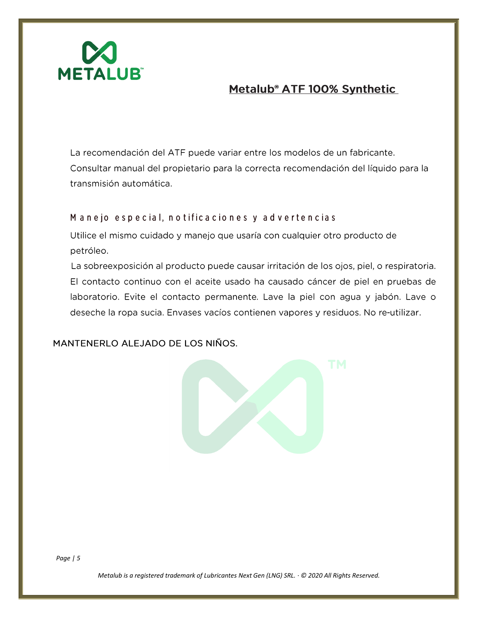

La recomendación del ATF puede variar entre los modelos de un fabricante. Consultar manual del propietario para la correcta recomendación del líquido para la transmisión automática.

Manejo especial, notificaciones y advertencias

Utilice el mismo cuidado y manejo que usaría con cualquier otro producto de petróleo.

La sobreexposición al producto puede causar irritación de los ojos, piel, o respiratoria. El contacto continuo con el aceite usado ha causado cáncer de piel en pruebas de laboratorio. Evite el contacto permanente. Lave la piel con agua y jabón. Lave o deseche la ropa sucia. Envases vacíos contienen vapores y residuos. No re-utilizar.

MANTENERLO ALEJADO DE LOS NIÑOS.